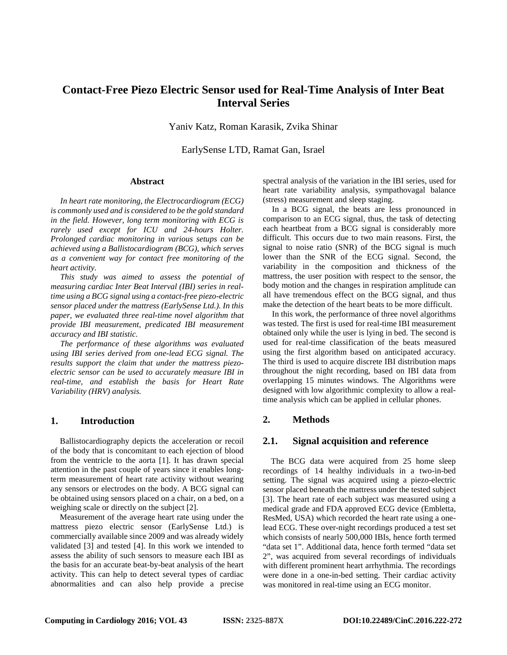# **Contact-Free Piezo Electric Sensor used for Real-Time Analysis of Inter Beat Interval Series**

Yaniv Katz, Roman Karasik, Zvika Shinar

EarlySense LTD, Ramat Gan, Israel

#### **Abstract**

*In heart rate monitoring, the Electrocardiogram (ECG) is commonly used and is considered to be the gold standard in the field. However, long term monitoring with ECG is rarely used except for ICU and 24-hours Holter. Prolonged cardiac monitoring in various setups can be achieved using a Ballistocardiogram (BCG), which serves as a convenient way for contact free monitoring of the heart activity.*

*This study was aimed to assess the potential of measuring cardiac Inter Beat Interval (IBI) series in realtime using a BCG signal using a contact-free piezo-electric sensor placed under the mattress (EarlySense Ltd.). In this paper, we evaluated three real-time novel algorithm that provide IBI measurement, predicated IBI measurement accuracy and IBI statistic.* 

*The performance of these algorithms was evaluated using IBI series derived from one-lead ECG signal. The results support the claim that under the mattress piezoelectric sensor can be used to accurately measure IBI in real-time, and establish the basis for Heart Rate Variability (HRV) analysis.* 

## **1. Introduction**

Ballistocardiography depicts the acceleration or recoil of the body that is concomitant to each ejection of blood from the ventricle to the aorta [1]. It has drawn special attention in the past couple of years since it enables longterm measurement of heart rate activity without wearing any sensors or electrodes on the body. A BCG signal can be obtained using sensors placed on a chair, on a bed, on a weighing scale or directly on the subject [2].

Measurement of the average heart rate using under the mattress piezo electric sensor (EarlySense Ltd.) is commercially available since 2009 and was already widely validated [3] and tested [4]. In this work we intended to assess the ability of such sensors to measure each IBI as the basis for an accurate beat-by-beat analysis of the heart activity. This can help to detect several types of cardiac abnormalities and can also help provide a precise

spectral analysis of the variation in the IBI series, used for heart rate variability analysis, sympathovagal balance (stress) measurement and sleep staging.

In a BCG signal, the beats are less pronounced in comparison to an ECG signal, thus, the task of detecting each heartbeat from a BCG signal is considerably more difficult. This occurs due to two main reasons. First, the signal to noise ratio (SNR) of the BCG signal is much lower than the SNR of the ECG signal. Second, the variability in the composition and thickness of the mattress, the user position with respect to the sensor, the body motion and the changes in respiration amplitude can all have tremendous effect on the BCG signal, and thus make the detection of the heart beats to be more difficult.

In this work, the performance of three novel algorithms was tested. The first is used for real-time IBI measurement obtained only while the user is lying in bed. The second is used for real-time classification of the beats measured using the first algorithm based on anticipated accuracy. The third is used to acquire discrete IBI distribution maps throughout the night recording, based on IBI data from overlapping 15 minutes windows. The Algorithms were designed with low algorithmic complexity to allow a realtime analysis which can be applied in cellular phones.

## **2. Methods**

## **2.1. Signal acquisition and reference**

 The BCG data were acquired from 25 home sleep recordings of 14 healthy individuals in a two-in-bed setting. The signal was acquired using a piezo-electric sensor placed beneath the mattress under the tested subject [3]. The heart rate of each subject was measured using a medical grade and FDA approved ECG device (Embletta, ResMed, USA) which recorded the heart rate using a onelead ECG. These over-night recordings produced a test set which consists of nearly 500,000 IBIs, hence forth termed "data set 1". Additional data, hence forth termed "data set 2", was acquired from several recordings of individuals with different prominent heart arrhythmia. The recordings were done in a one-in-bed setting. Their cardiac activity was monitored in real-time using an ECG monitor.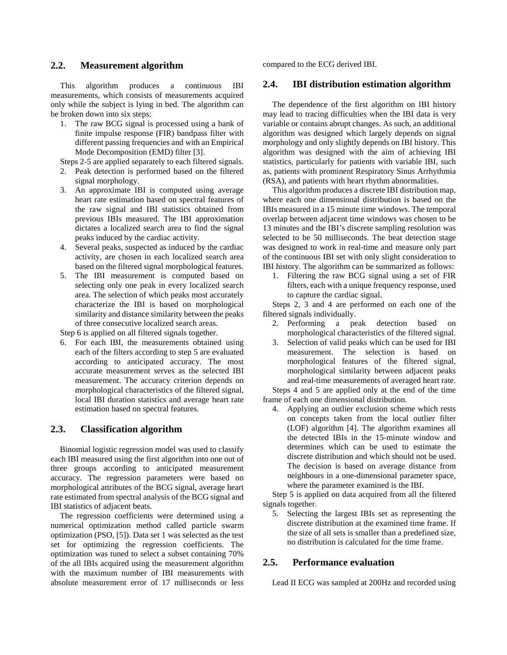## **2.2. Measurement algorithm**

This algorithm produces a continuous IBI measurements, which consists of measurements acquired only while the subject is lying in bed. The algorithm can be broken down into six steps:

1. The raw BCG signal is processed using a bank of finite impulse response (FIR) bandpass filter with different passing frequencies and with an Empirical Mode Decomposition (EMD) filter [3].

Steps 2-5 are applied separately to each filtered signals.

- 2. Peak detection is performed based on the filtered signal morphology.
- 3. An approximate IBI is computed using average heart rate estimation based on spectral features of the raw signal and IBI statistics obtained from previous IBIs measured. The IBI approximation dictates a localized search area to find the signal peaks induced by the cardiac activity.
- 4. Several peaks, suspected as induced by the cardiac activity, are chosen in each localized search area based on the filtered signal morphological features.
- 5. The IBI measurement is computed based on selecting only one peak in every localized search area. The selection of which peaks most accurately characterize the IBI is based on morphological similarity and distance similarity between the peaks of three consecutive localized search areas.

Step 6 is applied on all filtered signals together.

6. For each IBI, the measurements obtained using each of the filters according to step 5 are evaluated according to anticipated accuracy. The most accurate measurement serves as the selected IBI measurement. The accuracy criterion depends on morphological characteristics of the filtered signal, local IBI duration statistics and average heart rate estimation based on spectral features.

## **2.3. Classification algorithm**

Binomial logistic regression model was used to classify each IBI measured using the first algorithm into one out of three groups according to anticipated measurement accuracy. The regression parameters were based on morphological attributes of the BCG signal, average heart rate estimated from spectral analysis of the BCG signal and IBI statistics of adjacent beats.

The regression coefficients were determined using a numerical optimization method called particle swarm optimization (PSO, [5]). Data set 1 was selected as the test set for optimizing the regression coefficients. The optimization was tuned to select a subset containing 70% of the all IBIs acquired using the measurement algorithm with the maximum number of IBI measurements with absolute measurement error of 17 milliseconds or less

compared to the ECG derived IBI.

#### **2.4. IBI distribution estimation algorithm**

The dependence of the first algorithm on IBI history may lead to tracing difficulties when the IBI data is very variable or contains abrupt changes. As such, an additional algorithm was designed which largely depends on signal morphology and only slightly depends on IBI history. This algorithm was designed with the aim of achieving IBI statistics, particularly for patients with variable IBI, such as, patients with prominent Respiratory Sinus Arrhythmia (RSA), and patients with heart rhythm abnormalities.

This algorithm produces a discrete IBI distribution map, where each one dimensional distribution is based on the IBIs measured in a 15 minute time windows. The temporal overlap between adjacent time windows was chosen to be 13 minutes and the IBI's discrete sampling resolution was selected to be 50 milliseconds. The beat detection stage was designed to work in real-time and measure only part of the continuous IBI set with only slight consideration to IBI history. The algorithm can be summarized as follows:

1. Filtering the raw BCG signal using a set of FIR filters, each with a unique frequency response, used to capture the cardiac signal.

Steps 2, 3 and 4 are performed on each one of the filtered signals individually.

- 2. Performing a peak detection based on morphological characteristics of the filtered signal.
- 3. Selection of valid peaks which can be used for IBI measurement. The selection is based on morphological features of the filtered signal, morphological similarity between adjacent peaks and real-time measurements of averaged heart rate.

Steps 4 and 5 are applied only at the end of the time frame of each one dimensional distribution.

4. Applying an outlier exclusion scheme which rests on concepts taken from the local outlier filter (LOF) algorithm [4]. The algorithm examines all the detected IBIs in the 15-minute window and determines which can be used to estimate the discrete distribution and which should not be used. The decision is based on average distance from neighbours in a one-dimensional parameter space, where the parameter examined is the IBI.

Step 5 is applied on data acquired from all the filtered signals together.

5. Selecting the largest IBIs set as representing the discrete distribution at the examined time frame. If the size of all sets is smaller than a predefined size, no distribution is calculated for the time frame.

## **2.5. Performance evaluation**

Lead II ECG was sampled at 200Hz and recorded using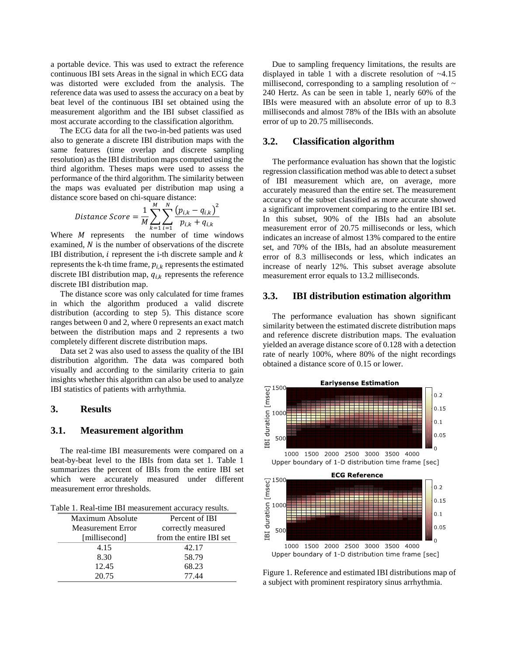a portable device. This was used to extract the reference continuous IBI sets Areas in the signal in which ECG data was distorted were excluded from the analysis. The reference data was used to assess the accuracy on a beat by beat level of the continuous IBI set obtained using the measurement algorithm and the IBI subset classified as most accurate according to the classification algorithm.

The ECG data for all the two-in-bed patients was used also to generate a discrete IBI distribution maps with the same features (time overlap and discrete sampling resolution) as the IBI distribution maps computed using the third algorithm. Theses maps were used to assess the performance of the third algorithm. The similarity between the maps was evaluated per distribution map using a distance score based on chi-square distance:

Distance Score = 
$$
\frac{1}{M} \sum_{k=1}^{M} \sum_{i=1}^{N} \frac{(p_{i,k} - q_{i,k})^2}{p_{i,k} + q_{i,k}}
$$

Where *M* represents the number of time windows examined,  $N$  is the number of observations of the discrete IBI distribution,  $i$  represent the i-th discrete sample and  $k$ represents the k-th time frame,  $p_{i,k}$  represents the estimated discrete IBI distribution map,  $q_{i,k}$  represents the reference discrete IBI distribution map.

The distance score was only calculated for time frames in which the algorithm produced a valid discrete distribution (according to step 5). This distance score ranges between 0 and 2, where 0 represents an exact match between the distribution maps and 2 represents a two completely different discrete distribution maps.

Data set 2 was also used to assess the quality of the IBI distribution algorithm. The data was compared both visually and according to the similarity criteria to gain insights whether this algorithm can also be used to analyze IBI statistics of patients with arrhythmia.

## **3. Results**

#### **3.1. Measurement algorithm**

The real-time IBI measurements were compared on a beat-by-beat level to the IBIs from data set 1. Table 1 summarizes the percent of IBIs from the entire IBI set which were accurately measured under different measurement error thresholds.

Table 1. Real-time IBI measurement accuracy results.

| Maximum Absolute  | Percent of IBI          |
|-------------------|-------------------------|
| Measurement Error | correctly measured      |
| [millisecond]     | from the entire IBI set |
| 4.15              | 42.17                   |
| 8.30              | 58.79                   |
| 12.45             | 68.23                   |
| 20.75             | 77.44                   |

Due to sampling frequency limitations, the results are displayed in table 1 with a discrete resolution of ~4.15 millisecond, corresponding to a sampling resolution of  $\sim$ 240 Hertz. As can be seen in table 1, nearly 60% of the IBIs were measured with an absolute error of up to 8.3 milliseconds and almost 78% of the IBIs with an absolute error of up to 20.75 milliseconds.

#### **3.2. Classification algorithm**

The performance evaluation has shown that the logistic regression classification method was able to detect a subset of IBI measurement which are, on average, more accurately measured than the entire set. The measurement accuracy of the subset classified as more accurate showed a significant improvement comparing to the entire IBI set. In this subset, 90% of the IBIs had an absolute measurement error of 20.75 milliseconds or less, which indicates an increase of almost 13% compared to the entire set, and 70% of the IBIs, had an absolute measurement error of 8.3 milliseconds or less, which indicates an increase of nearly 12%. This subset average absolute measurement error equals to 13.2 milliseconds.

## **3.3. IBI distribution estimation algorithm**

The performance evaluation has shown significant similarity between the estimated discrete distribution maps and reference discrete distribution maps. The evaluation yielded an average distance score of 0.128 with a detection rate of nearly 100%, where 80% of the night recordings obtained a distance score of 0.15 or lower.



Figure 1. Reference and estimated IBI distributions map of a subject with prominent respiratory sinus arrhythmia.